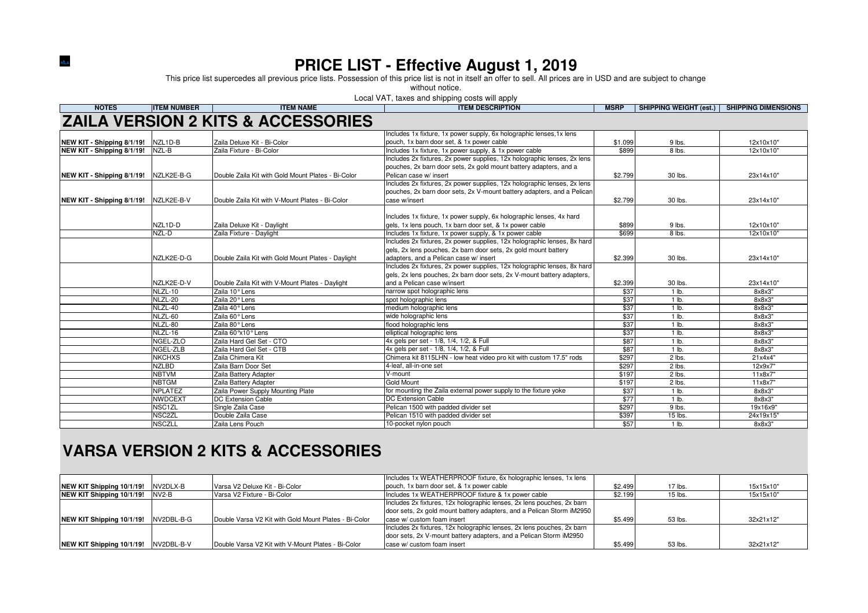**PRICE LIST - Effective August 1, 2019**<br>This price list supercedes all previous price lists. Possession of this price list is not in itself an offer to sell. All prices are in USD and are subject to change

without notice.

Local VAT, taxes and shipping costs will apply

| <b>NOTES</b>                          | <b>ITEM NUMBER</b> | <b>ITEM NAME</b>                                   | <b>ITEM DESCRIPTION</b>                                                                                                            | <b>MSRP</b>      | SHIPPING WEIGHT (est.) SHIPPING DIMENSIONS |           |
|---------------------------------------|--------------------|----------------------------------------------------|------------------------------------------------------------------------------------------------------------------------------------|------------------|--------------------------------------------|-----------|
|                                       |                    | <b>ZAILA VERSION 2 KITS &amp; ACCESSORIES</b>      |                                                                                                                                    |                  |                                            |           |
|                                       |                    |                                                    | Includes 1x fixture, 1x power supply, 6x holographic lenses, 1x lens                                                               |                  |                                            |           |
| NEW KIT - Shipping 8/1/19! NZL1D-B    |                    | Zaila Deluxe Kit - Bi-Color                        | pouch, 1x barn door set, & 1x power cable                                                                                          | \$1.099          | 9 lbs.                                     | 12x10x10" |
| NEW KIT - Shipping 8/1/19!            | NZL-B              | Zaila Fixture - Bi-Color                           | Includes 1x fixture, 1x power supply, & 1x power cable                                                                             | \$899            | 8 lbs.                                     | 12x10x10" |
|                                       |                    |                                                    | Includes 2x fixtures, 2x power supplies, 12x holographic lenses, 2x lens                                                           |                  |                                            |           |
|                                       |                    |                                                    | pouches, 2x barn door sets, 2x gold mount battery adapters, and a                                                                  |                  |                                            |           |
| NEW KIT - Shipping 8/1/19!            | NZLK2E-B-G         | Double Zaila Kit with Gold Mount Plates - Bi-Color | Pelican case w/ insert                                                                                                             | \$2.799          | 30 lbs.                                    | 23x14x10" |
|                                       |                    |                                                    | Includes 2x fixtures, 2x power supplies, 12x holographic lenses, 2x lens                                                           |                  |                                            |           |
|                                       |                    |                                                    | pouches, 2x barn door sets, 2x V-mount battery adapters, and a Pelican                                                             |                  |                                            |           |
| NEW KIT - Shipping 8/1/19! NZLK2E-B-V |                    | Double Zaila Kit with V-Mount Plates - Bi-Color    | case w/insert                                                                                                                      | \$2.799          | 30 lbs.                                    | 23x14x10" |
|                                       |                    |                                                    | Includes 1x fixture, 1x power supply, 6x holographic lenses, 4x hard                                                               |                  |                                            |           |
|                                       | NZL1D-D            |                                                    | gels, 1x lens pouch, 1x barn door set, & 1x power cable                                                                            |                  |                                            |           |
|                                       | NZL-D              | Zaila Deluxe Kit - Daylight                        |                                                                                                                                    | \$899            | 9 lbs.<br>8 lbs.                           | 12x10x10" |
|                                       |                    | Zaila Fixture - Daylight                           | Includes 1x fixture, 1x power supply, & 1x power cable<br>Includes 2x fixtures, 2x power supplies, 12x holographic lenses, 8x hard | \$699            |                                            | 12x10x10" |
|                                       |                    |                                                    | gels, 2x lens pouches, 2x barn door sets, 2x gold mount battery                                                                    |                  |                                            |           |
|                                       | NZLK2E-D-G         |                                                    | adapters, and a Pelican case w/ insert                                                                                             |                  | 30 lbs.                                    | 23x14x10" |
|                                       |                    | Double Zaila Kit with Gold Mount Plates - Daylight | Includes 2x fixtures, 2x power supplies, 12x holographic lenses, 8x hard                                                           | \$2.399          |                                            |           |
|                                       |                    |                                                    | gels, 2x lens pouches, 2x barn door sets, 2x V-mount battery adapters,                                                             |                  |                                            |           |
|                                       |                    |                                                    | and a Pelican case w/insert                                                                                                        |                  |                                            |           |
|                                       | NZLK2E-D-V         | Double Zaila Kit with V-Mount Plates - Daylight    |                                                                                                                                    | \$2.399          | 30 lbs.                                    | 23x14x10" |
|                                       | NLZL-10            | Zaila 10° Lens                                     | narrow spot holographic lens                                                                                                       | \$37             | 1 lb.                                      | 8x8x3"    |
|                                       | NLZL-20            | Zaila 20° Lens                                     | spot holographic lens                                                                                                              | \$37             | $1$ lb.                                    | 8x8x3"    |
|                                       | NLZL-40            | Zaila 40° Lens                                     | medium holographic lens                                                                                                            | \$37             | 1 lb.                                      | 8x8x3"    |
|                                       | NLZL-60            | Zaila 60° Lens                                     | wide holographic lens                                                                                                              | \$37             | $1$ lb.                                    | 8x8x3"    |
|                                       | NLZL-80            | Zaila 80° Lens                                     | flood holographic lens                                                                                                             | \$37             | $1$ lb.                                    | 8x8x3"    |
|                                       | NLZL-16            | Zaila 60°x10° Lens                                 | elliptical holographic lens                                                                                                        | \$37             | $1$ lb.                                    | 8x8x3"    |
|                                       | NGEL-ZLO           | Zaila Hard Gel Set - CTO                           | 4x gels per set - 1/8, 1/4, 1/2, & Full                                                                                            | \$87             | $1$ lb.                                    | 8x8x3"    |
|                                       | NGEL-ZLB           | Zaila Hard Gel Set - CTB                           | 4x gels per set - 1/8, 1/4, 1/2, & Full                                                                                            | \$87             | 1 lb.                                      | 8x8x3"    |
|                                       | <b>NKCHXS</b>      | Zaila Chimera Kit                                  | Chimera kit 8115LHN - low heat video pro kit with custom 17.5" rods                                                                | \$297            | 2 lbs.                                     | 21x4x4"   |
|                                       | <b>NZLBD</b>       | Zaila Barn Door Set                                | 4-leaf, all-in-one set                                                                                                             | \$297            | 2 lbs.                                     | 12x9x7"   |
|                                       | <b>NBTVM</b>       | Zaila Battery Adapter                              | V-mount                                                                                                                            | \$197            | $2$ lbs.                                   | 11x8x7'   |
|                                       | <b>NBTGM</b>       | Zaila Battery Adapter                              | <b>Gold Mount</b>                                                                                                                  | \$197            | $2$ lbs.                                   | 11x8x7    |
|                                       | <b>NPLATEZ</b>     | Zaila Power Supply Mounting Plate                  | for mounting the Zaila external power supply to the fixture yoke                                                                   | \$37             | $1$ lb.                                    | 8x8x3"    |
|                                       | <b>NWDCEXT</b>     | <b>DC Extension Cable</b>                          | <b>DC Extension Cable</b>                                                                                                          | $\overline{$77}$ | $1$ lb.                                    | 8x8x3"    |
|                                       | NSC1ZL             | Single Zaila Case                                  | Pelican 1500 with padded divider set                                                                                               | \$297            | $9$ lbs.                                   | 19x16x9"  |
|                                       | NSC <sub>2ZL</sub> | Double Zaila Case                                  | Pelican 1510 with padded divider set                                                                                               | \$397            | $15$ lbs.                                  | 24x19x15" |
|                                       | <b>NSCZLL</b>      | Zaila Lens Pouch                                   | 10-pocket nylon pouch                                                                                                              | \$57             | 1 lb.                                      | 8x8x3"    |

### **VARSA VERSION 2 KITS & ACCESSORIES**

**NİLA** 

|                                 |            |                                                       | Includes 1x WEATHERPROOF fixture, 6x holographic lenses, 1x lens       |         |         |           |
|---------------------------------|------------|-------------------------------------------------------|------------------------------------------------------------------------|---------|---------|-----------|
| NEW KIT Shipping 10/1/19!       | NV2DLX-B   | Varsa V2 Deluxe Kit - Bi-Color                        | pouch, 1x barn door set, & 1x power cable                              | \$2.499 | 17 lbs. | 15x15x10" |
| NEW KIT Shipping 10/1/19! NV2-B |            | Varsa V2 Fixture - Bi-Color                           | Includes 1x WEATHERPROOF fixture & 1x power cable                      | \$2.199 | 15 lbs. | 15x15x10" |
|                                 |            |                                                       | Includes 2x fixtures, 12x holographic lenses, 2x lens pouches, 2x barn |         |         |           |
|                                 |            |                                                       | door sets, 2x gold mount battery adapters, and a Pelican Storm iM2950  |         |         |           |
| NEW KIT Shipping 10/1/19!       | NV2DBL-B-G | Double Varsa V2 Kit with Gold Mount Plates - Bi-Color | case w/ custom foam insert                                             | \$5.499 | 53 lbs. | 32x21x12" |
|                                 |            |                                                       | Includes 2x fixtures, 12x holographic lenses, 2x lens pouches, 2x barn |         |         |           |
|                                 |            |                                                       | door sets, 2x V-mount battery adapters, and a Pelican Storm iM2950     |         |         |           |
| NEW KIT Shipping 10/1/19!       | NV2DBL-B-V | Double Varsa V2 Kit with V-Mount Plates - Bi-Color    | case w/ custom foam insert                                             | \$5.499 | 53 lbs. | 32x21x12" |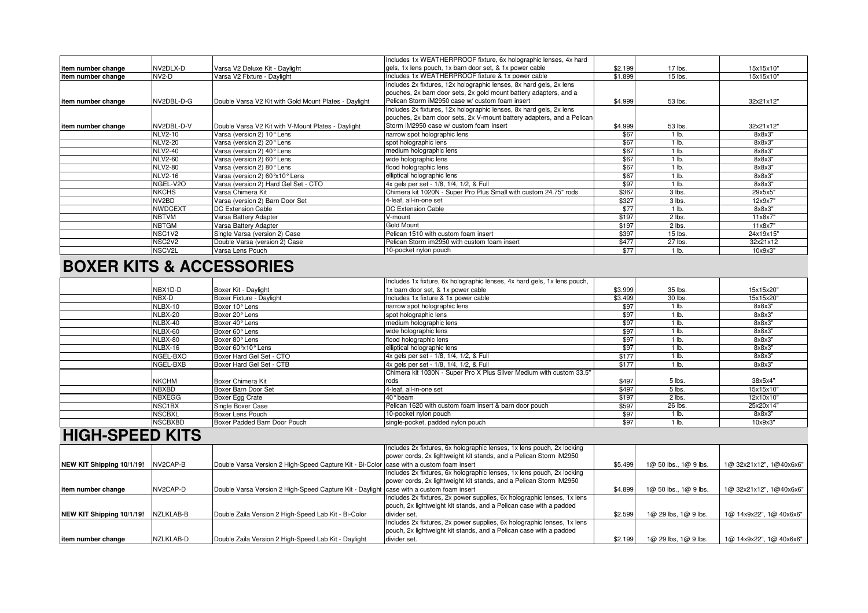|                     |                |                                                       | Includes 1x WEATHERPROOF fixture, 6x holographic lenses, 4x hard       |         |         |           |
|---------------------|----------------|-------------------------------------------------------|------------------------------------------------------------------------|---------|---------|-----------|
| item number change  | NV2DLX-D       | Varsa V2 Deluxe Kit - Daylight                        | gels, 1x lens pouch, 1x barn door set, & 1x power cable                | \$2.199 | 17 lbs. | 15x15x10" |
| item number change  | NV2-D          | Varsa V2 Fixture - Daylight                           | Includes 1x WEATHERPROOF fixture & 1x power cable                      | \$1.899 | 15 lbs. | 15x15x10" |
|                     |                |                                                       | Includes 2x fixtures, 12x holographic lenses, 8x hard gels, 2x lens    |         |         |           |
|                     |                |                                                       | pouches, 2x barn door sets, 2x gold mount battery adapters, and a      |         |         |           |
| item number change  | NV2DBL-D-G     | Double Varsa V2 Kit with Gold Mount Plates - Daylight | Pelican Storm iM2950 case w/ custom foam insert                        | \$4.999 | 53 lbs. | 32x21x12" |
|                     |                |                                                       | Includes 2x fixtures, 12x holographic lenses, 8x hard gels, 2x lens    |         |         |           |
|                     |                |                                                       | pouches, 2x barn door sets, 2x V-mount battery adapters, and a Pelican |         |         |           |
| litem number change | NV2DBL-D-V     | Double Varsa V2 Kit with V-Mount Plates - Daylight    | Storm iM2950 case w/ custom foam insert                                | \$4.999 | 53 lbs. | 32x21x12" |
|                     | <b>NLV2-10</b> | Varsa (version 2) 10° Lens                            | narrow spot holographic lens                                           | \$67    | $1$ lb. | 8x8x3"    |
|                     | <b>NLV2-20</b> | Varsa (version 2) 20° Lens                            | spot holographic lens                                                  | \$67    | $1$ lb. | 8x8x3"    |
|                     | <b>NLV2-40</b> | Varsa (version 2) 40° Lens                            | medium holographic lens                                                | \$67    | $1$ lb. | 8x8x3"    |
|                     | <b>NLV2-60</b> | Varsa (version 2) 60° Lens                            | wide holographic lens                                                  | \$67    | $1$ lb. | 8x8x3"    |
|                     | <b>NLV2-80</b> | Varsa (version 2) 80° Lens                            | flood holographic lens                                                 | \$67    | $1$ lb. | 8x8x3"    |
|                     | <b>NLV2-16</b> | Varsa (version 2) 60 ° x 10 ° Lens                    | elliptical holographic lens                                            | \$67    | $1$ lb. | 8x8x3"    |
|                     | NGEL-V2O       | Varsa (version 2) Hard Gel Set - CTO                  | 4x gels per set - 1/8, 1/4, 1/2, & Full                                | \$97    | $1$ lb. | 8x8x3"    |
|                     | <b>NKCHS</b>   | Varsa Chimera Kit                                     | Chimera kit 1020N - Super Pro Plus Small with custom 24.75" rods       | \$367   | 3 lbs.  | 29x5x5"   |
|                     | NV2BD          | Varsa (version 2) Barn Door Set                       | 4-leaf, all-in-one set                                                 | \$327   | 3 lbs.  | 12x9x7    |
|                     | <b>NWDCEXT</b> | DC Extension Cable                                    | <b>DC Extension Cable</b>                                              | \$77    | $1$ lb. | 8x8x3"    |
|                     | <b>NBTVM</b>   | Varsa Battery Adapter                                 | V-mount                                                                | \$197   | 2 lbs.  | 11x8x7"   |
|                     | <b>NBTGM</b>   | Varsa Battery Adapter                                 | <b>Gold Mount</b>                                                      | \$197   | 2 lbs.  | 11x8x7"   |
|                     | NSC1V2         | Single Varsa (version 2) Case                         | Pelican 1510 with custom foam insert                                   | \$397   | 15 lbs. | 24x19x15" |
|                     | NSC2V2         | Double Varsa (version 2) Case                         | Pelican Storm im2950 with custom foam insert                           | \$477   | 27 lbs. | 32x21x12  |
|                     | NSCV2L         | Varsa Lens Pouch                                      | 10-pocket nylon pouch                                                  | \$77    | $1$ lb. | 10x9x3"   |

# **BOXER KITS & ACCESSORIES**

|            |                |                              | Includes 1x fixture, 6x holographic lenses, 4x hard gels, 1x lens pouch, |         |                    |           |
|------------|----------------|------------------------------|--------------------------------------------------------------------------|---------|--------------------|-----------|
|            | NBX1D-D        | Boxer Kit - Daylight         | 1x barn door set, & 1x power cable                                       | \$3.999 | 35 lbs.            | 15x15x20" |
|            | NBX-D          | Boxer Fixture - Daylight     | Includes 1x fixture & 1x power cable                                     | \$3.499 | 30 lbs.            | 15x15x20" |
|            | NLBX-10        | Boxer 10° Lens               | narrow spot holographic lens                                             | \$97    | 1 lb.              | 8x8x3"    |
|            | NLBX-20        | Boxer 20° Lens               | spot holographic lens                                                    | \$97    | 1 lb.              | 8x8x3"    |
|            | NLBX-40        | Boxer 40° Lens               | medium holographic lens                                                  | \$97    | $1$ lb.            | 8x8x3"    |
|            | NLBX-60        | Boxer 60° Lens               | wide holographic lens                                                    | \$97    | $1$ lb.            | 8x8x3"    |
|            | NLBX-80        | Boxer 80° Lens               | flood holographic lens                                                   | \$97    | $1$ lb.            | 8x8x3"    |
|            | NLBX-16        | Boxer 60°x10° Lens           | elliptical holographic lens                                              | \$97    | $1 \overline{b}$ . | 8x8x3"    |
|            | NGEL-BXO       | Boxer Hard Gel Set - CTO     | 4x gels per set - 1/8, 1/4, 1/2, & Full                                  | \$177   | $1$ lb.            | 8x8x3"    |
|            | NGEL-BXB       | Boxer Hard Gel Set - CTB     | 4x gels per set - 1/8, 1/4, 1/2, & Full                                  | \$177   | 1 lb.              | 8x8x3"    |
|            |                |                              | Chimera kit 1030N - Super Pro X Plus Silver Medium with custom 33.5"     |         |                    |           |
|            | <b>NKCHM</b>   | Boxer Chimera Kit            | rods                                                                     | \$497   | 5 lbs.             | 38x5x4"   |
|            | <b>NBXBD</b>   | Boxer Barn Door Set          | 4-leaf, all-in-one set                                                   | \$497   | 5 lbs.             | 15x15x10" |
|            | <b>NBXEGG</b>  | Boxer Egg Crate              | 40° beam                                                                 | \$197   | 2 lbs.             | 12x10x10" |
|            | NSC1BX         | Single Boxer Case            | Pelican 1620 with custom foam insert & barn door pouch                   | \$597   | 26 lbs.            | 25x20x14" |
|            | <b>NSCBXL</b>  | Boxer Lens Pouch             | 10-pocket nylon pouch                                                    | \$97    | 1 lb.              | 8x8x3"    |
|            | <b>NSCBXBD</b> | Boxer Padded Barn Door Pouch | single-pocket, padded nylon pouch                                        | \$97    | 1 lb.              | 10x9x3"   |
| . <i>.</i> |                |                              |                                                                          |         |                    |           |

#### **HIGH-SPEED KITS**

|                           |           |                                                                                         | Includes 2x fixtures, 6x holographic lenses, 1x lens pouch, 2x locking  |         |                           |                         |
|---------------------------|-----------|-----------------------------------------------------------------------------------------|-------------------------------------------------------------------------|---------|---------------------------|-------------------------|
|                           |           |                                                                                         | power cords, 2x lightweight kit stands, and a Pelican Storm iM2950      |         |                           |                         |
| NEW KIT Shipping 10/1/19! | NV2CAP-B  | Double Varsa Version 2 High-Speed Capture Kit - Bi-Color case with a custom foam insert |                                                                         | \$5.499 | 1@ 50 lbs., 1@ 9 lbs.     | 1@ 32x21x12", 1@40x6x6" |
|                           |           |                                                                                         | Includes 2x fixtures, 6x holographic lenses, 1x lens pouch, 2x locking  |         |                           |                         |
|                           |           |                                                                                         | power cords, 2x lightweight kit stands, and a Pelican Storm iM2950      |         |                           |                         |
| litem number change       | NV2CAP-D  | Double Varsa Version 2 High-Speed Capture Kit - Daylight case with a custom foam insert |                                                                         | \$4.899 | $1@$ 50 lbs., $1@$ 9 lbs. | 1@ 32x21x12", 1@40x6x6" |
|                           |           |                                                                                         | Includes 2x fixtures, 2x power supplies, 6x holographic lenses, 1x lens |         |                           |                         |
|                           |           |                                                                                         | pouch, 2x lightweight kit stands, and a Pelican case with a padded      |         |                           |                         |
| NEW KIT Shipping 10/1/19! | NZLKLAB-B | Double Zaila Version 2 High-Speed Lab Kit - Bi-Color                                    | divider set.                                                            | \$2.599 | $1@29$ lbs, $1@9$ lbs.    | 1@ 14x9x22", 1@ 40x6x6" |
|                           |           |                                                                                         | Includes 2x fixtures, 2x power supplies, 6x holographic lenses, 1x lens |         |                           |                         |
|                           |           |                                                                                         | pouch, 2x lightweight kit stands, and a Pelican case with a padded      |         |                           |                         |
| item number change        | NZLKLAB-D | Double Zaila Version 2 High-Speed Lab Kit - Daylight                                    | divider set.                                                            | \$2.199 | $1@29$ lbs, $1@9$ lbs.    | 1@ 14x9x22", 1@ 40x6x6" |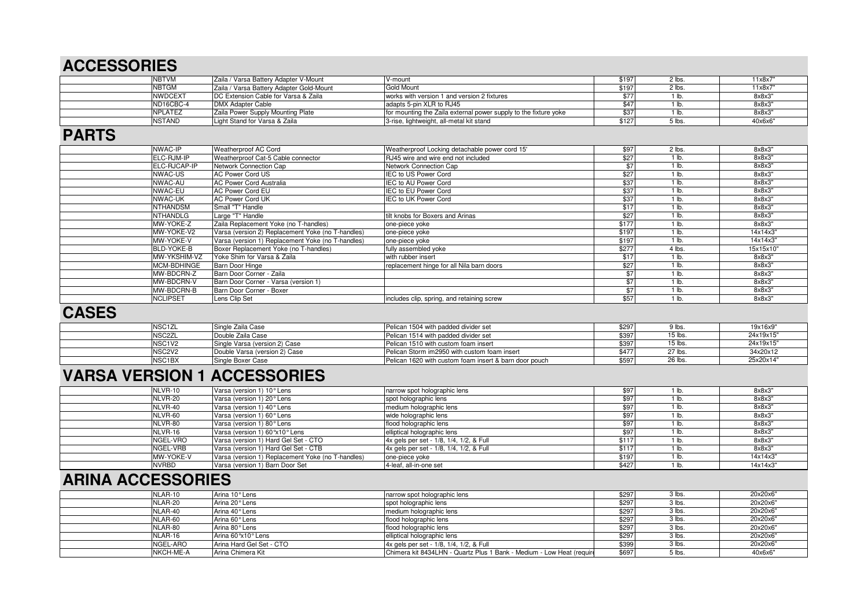# **ACCESSORIES**

| <b>NBTVM</b>    |           | Zaila / Varsa Battery Adapter V-Mount    | V-mount                                                          |       | 2 lbs.   | 11x8x7  |
|-----------------|-----------|------------------------------------------|------------------------------------------------------------------|-------|----------|---------|
| <b>INBTGM</b>   |           | Zaila / Varsa Battery Adapter Gold-Mount | <b>Gold Mount</b>                                                | \$19  | 2 lbs.   | 11x8x7  |
| <b>INWDCEXT</b> |           | DC Extension Cable for Varsa & Zaila     | works with version 1 and version 2 fixtures                      |       |          | 8x8x3"  |
|                 | ND16CBC-4 | DMX Adapter Cable                        | adapts 5-pin XLR to RJ45                                         |       |          | 8x8x3"  |
| <b>NPLATEZ</b>  |           | Zaila Power Supply Mounting Plate        | for mounting the Zaila external power supply to the fixture yoke |       |          | 8x8x3"  |
| <b>NSTAND</b>   |           | Light Stand for Varsa & Zaila            | 3-rise, lightweight, all-metal kit stand                         | \$127 | $5$ lbs. | 40x6x6" |

#### **PARTS**

| <b>NWAC-IP</b>    | Weatherproof AC Cord                              | Weatherproof Locking detachable power cord 15' | \$97        | 2 lbs.           | 8x8x3"    |
|-------------------|---------------------------------------------------|------------------------------------------------|-------------|------------------|-----------|
| ELC-RJM-IP        | Weatherproof Cat-5 Cable connector                | RJ45 wire and wire end not included            | $\sqrt{27}$ | 1 lb.            | 8x8x3"    |
| ELC-RJCAP-IP      | Network Connection Cap                            | Network Connection Cap                         |             | 1 lb.            | 8x8x3"    |
| <b>NWAC-US</b>    | <b>AC Power Cord US</b>                           | <b>IEC to US Power Cord</b>                    | \$27        | $1 \overline{1}$ | 8x8x3"    |
| NWAC-AU           | <b>AC Power Cord Australia</b>                    | IEC to AU Power Cord                           | \$37        | 1 lb.            | 8x8x3"    |
| NWAC-EU           | AC Power Cord EU                                  | IEC to EU Power Cord                           | \$37        | $1$ lb.          | 8x8x3"    |
| <b>NWAC-UK</b>    | <b>AC Power Cord UK</b>                           | <b>IEC to UK Power Cord</b>                    | \$37        | 1 lb.            | 8x8x3"    |
| <b>NTHANDSM</b>   | Small "T" Handle                                  |                                                | \$17        | $1$ lb.          | 8x8x3"    |
| <b>NTHANDLG</b>   | Large "T" Handle                                  | tilt knobs for Boxers and Arinas               | \$27        | 1 lb.            | 8x8x3"    |
| MW-YOKE-Z         | Zaila Replacement Yoke (no T-handles)             | one-piece yoke                                 | \$177       | 1 lb.            | 8x8x3"    |
| MW-YOKE-V2        | Varsa (version 2) Replacement Yoke (no T-handles) | one-piece yoke                                 | \$197       | 1 lb.            | 14x14x3"  |
| MW-YOKE-V         | Varsa (version 1) Replacement Yoke (no T-handles) | one-piece yoke                                 | \$197       | $1$ lb.          | 14x14x3"  |
| <b>BLD-YOKE-B</b> | Boxer Replacement Yoke (no T-handles)             | fully assembled yoke                           | \$277       | 4 lbs.           | 15x15x10" |
| MW-YKSHIM-VZ      | Yoke Shim for Varsa & Zaila                       | with rubber insert                             | \$17        | 1 lb.            | 8x8x3"    |
| MCM-BDHINGE       | <b>Barn Door Hinge</b>                            | replacement hinge for all Nila barn doors      | \$27        | $1$ lb.          | 8x8x3"    |
| MW-BDCRN-Z        | Barn Door Corner - Zaila                          |                                                | \$7         | $1$ lb.          | 8x8x3"    |
| MW-BDCRN-V        | Barn Door Corner - Varsa (version 1)              |                                                | \$7         | $1$ lb.          | 8x8x3"    |
| MW-BDCRN-B        | Barn Door Corner - Boxer                          |                                                | \$7         | 1 lb.            | 8x8x3"    |
| <b>NCLIPSET</b>   | Lens Clip Set                                     | includes clip, spring, and retaining screw     | \$57        | 1 lb.            | 8x8x3"    |

#### **CASES**

| NSC <sub>1</sub> ZL             | Single Zaila Case             | Pelican 1504 with padded divider set                   | \$297 | 9 lbs   | 19x16x9"  |
|---------------------------------|-------------------------------|--------------------------------------------------------|-------|---------|-----------|
| NSC2ZL                          | <b>Double Zaila Case</b>      | Pelican 1514 with padded divider set                   | \$39' | 15 lbs. | 24x19x15" |
| NSC <sub>1</sub> V <sub>2</sub> | Single Varsa (version 2) Case | Pelican 1510 with custom foam insert                   | \$39  | 15 lbs. | 24x19x15" |
| NSC <sub>2</sub> V <sub>2</sub> | Double Varsa (version 2) Case | Pelican Storm im2950 with custom foam insert           | \$47  | 27 lbs. | 34x20x12  |
| NSC1BX                          | Single Boxer Case             | Pelican 1620 with custom foam insert & barn door pouch | \$597 | 26 lbs. | 25x20x14" |

### **VARSA VERSION 1 ACCESSORIES**

| NLVR-10   | Varsa (version 1) 10° Lens                        | narrow spot holographic lens            | £q    | lb.   | 8x8x3"   |
|-----------|---------------------------------------------------|-----------------------------------------|-------|-------|----------|
| NLVR-20   | Varsa (version 1) 20° Lens                        | spot holographic lens                   | \$9   | lb.   | 8x8x3"   |
| NLVR-40   | Varsa (version 1) 40° Lens                        | medium holographic lens                 | \$97  | ↑lb.  | 8x8x3"   |
| NLVR-60   | Varsa (version 1) 60° Lens                        | wide holographic lens                   | \$97  | ۱b.   | 8x8x3"   |
| NLVR-80   | Varsa (version 1) 80° Lens                        | flood holographic lens                  | RQ    | l Ib. | 8x8x3"   |
| NLVR-16   | Varsa (version 1) 60°x10° Lens                    | elliptical holographic lens             | \$97  | ' lb. | 8x8x3"   |
| NGEL-VRO  | Varsa (version 1) Hard Gel Set - CTO              | 4x gels per set - 1/8, 1/4, 1/2, & Full | \$11] | l Ib. | 8x8x3"   |
| NGEL-VRB  | Varsa (version 1) Hard Gel Set - CTB              | 4x gels per set - 1/8, 1/4, 1/2, & Full | \$11] | l Ib. | 8x8x3"   |
| MW-YOKE-V | Varsa (version 1) Replacement Yoke (no T-handles) | one-piece yoke                          | \$197 | l Ib. | 14x14x3" |
| NVRBD     | Varsa (version 1) Barn Door Set                   | 4-leaf, all-in-one set                  | \$427 | ۱lb.  | 14x14x3" |

## **ARINA ACCESSORIES**

| NLAR-10   | Arina 10° Lens           | narrow spot holographic lens                                          | \$297 | 3 lbs    | 20x20x6" |
|-----------|--------------------------|-----------------------------------------------------------------------|-------|----------|----------|
| NLAR-20   | Arina 20° Lens           | spot holographic lens                                                 | \$297 | 3 lbs    | 20x20x6" |
| NLAR-40   | Arina 40° Lens           | medium holographic lens                                               | \$297 | 3 lbs.   | 20x20x6" |
| NLAR-60   | Arina 60° Lens           | flood holographic lens                                                | \$297 | 3 lbs    | 20x20x6" |
| NLAR-80   | Arina 80° Lens           | flood holographic lens                                                | \$297 | 3 lbs.   | 20x20x6" |
| NLAR-16   | Arina 60°x10° Lens       | elliptical holographic lens                                           | \$297 | 3 lbs.   | 20x20x6" |
| NGEL-ARO  | Arina Hard Gel Set - CTO | 4x gels per set - 1/8, 1/4, 1/2, & Full                               | \$399 | $3$ lbs. | 20x20x6" |
| NKCH-ME-A | Arina Chimera Kit        | Chimera kit 8434LHN - Quartz Plus 1 Bank - Medium - Low Heat (require | \$697 | 5 lbs.   | 40x6x6"  |